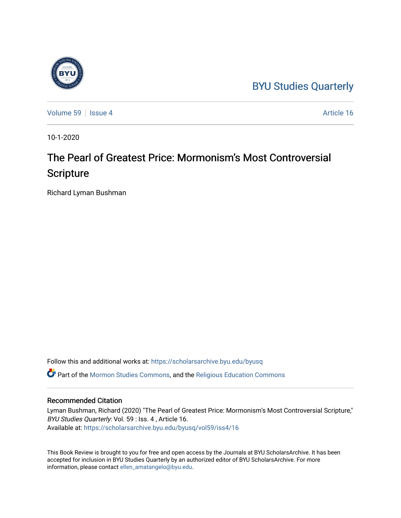## [BYU Studies Quarterly](https://scholarsarchive.byu.edu/byusq)



[Volume 59](https://scholarsarchive.byu.edu/byusq/vol59) | [Issue 4](https://scholarsarchive.byu.edu/byusq/vol59/iss4) Article 16

10-1-2020

## The Pearl of Greatest Price: Mormonism's Most Controversial **Scripture**

Richard Lyman Bushman

Follow this and additional works at: [https://scholarsarchive.byu.edu/byusq](https://scholarsarchive.byu.edu/byusq?utm_source=scholarsarchive.byu.edu%2Fbyusq%2Fvol59%2Fiss4%2F16&utm_medium=PDF&utm_campaign=PDFCoverPages) 

Part of the [Mormon Studies Commons](http://network.bepress.com/hgg/discipline/1360?utm_source=scholarsarchive.byu.edu%2Fbyusq%2Fvol59%2Fiss4%2F16&utm_medium=PDF&utm_campaign=PDFCoverPages), and the [Religious Education Commons](http://network.bepress.com/hgg/discipline/1414?utm_source=scholarsarchive.byu.edu%2Fbyusq%2Fvol59%2Fiss4%2F16&utm_medium=PDF&utm_campaign=PDFCoverPages) 

## Recommended Citation

Lyman Bushman, Richard (2020) "The Pearl of Greatest Price: Mormonism's Most Controversial Scripture," BYU Studies Quarterly: Vol. 59 : Iss. 4 , Article 16. Available at: [https://scholarsarchive.byu.edu/byusq/vol59/iss4/16](https://scholarsarchive.byu.edu/byusq/vol59/iss4/16?utm_source=scholarsarchive.byu.edu%2Fbyusq%2Fvol59%2Fiss4%2F16&utm_medium=PDF&utm_campaign=PDFCoverPages) 

This Book Review is brought to you for free and open access by the Journals at BYU ScholarsArchive. It has been accepted for inclusion in BYU Studies Quarterly by an authorized editor of BYU ScholarsArchive. For more information, please contact [ellen\\_amatangelo@byu.edu.](mailto:ellen_amatangelo@byu.edu)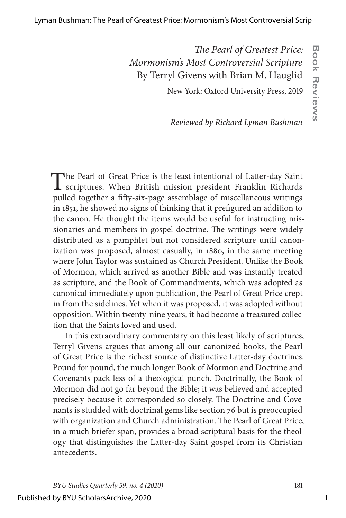## *The Pearl of Greatest Price: Mormonism's Most Controversial Scripture* By Terryl Givens with Brian M. Hauglid

New York: Oxford University Press, 2019

**Book Reviews**

**Book Reviews** 

*Reviewed by Richard Lyman Bushman*

The Pearl of Great Price is the least intentional of Latter-day Saint scriptures. When British mission president Franklin Richards pulled together a fifty-six-page assemblage of miscellaneous writings in 1851, he showed no signs of thinking that it prefigured an addition to the canon. He thought the items would be useful for instructing missionaries and members in gospel doctrine. The writings were widely distributed as a pamphlet but not considered scripture until canonization was proposed, almost casually, in 1880, in the same meeting where John Taylor was sustained as Church President. Unlike the Book of Mormon, which arrived as another Bible and was instantly treated as scripture, and the Book of Commandments, which was adopted as canonical immediately upon publication, the Pearl of Great Price crept in from the sidelines. Yet when it was proposed, it was adopted without opposition. Within twenty-nine years, it had become a treasured collection that the Saints loved and used.

In this extraordinary commentary on this least likely of scriptures, Terryl Givens argues that among all our canonized books, the Pearl of Great Price is the richest source of distinctive Latter-day doctrines. Pound for pound, the much longer Book of Mormon and Doctrine and Covenants pack less of a theological punch. Doctrinally, the Book of Mormon did not go far beyond the Bible; it was believed and accepted precisely because it corresponded so closely. The Doctrine and Covenants is studded with doctrinal gems like section 76 but is preoccupied with organization and Church administration. The Pearl of Great Price, in a much briefer span, provides a broad scriptural basis for the theology that distinguishes the Latter-day Saint gospel from its Christian antecedents.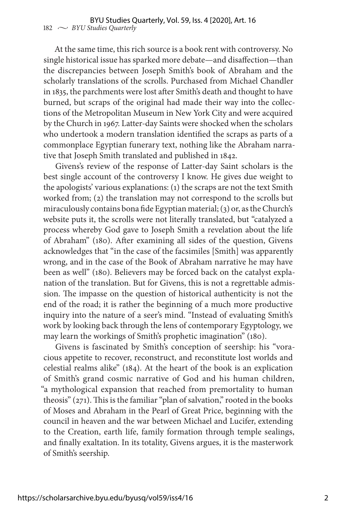At the same time, this rich source is a book rent with controversy. No single historical issue has sparked more debate—and disaffection—than the discrepancies between Joseph Smith's book of Abraham and the scholarly translations of the scrolls. Purchased from Michael Chandler in 1835, the parchments were lost after Smith's death and thought to have burned, but scraps of the original had made their way into the collections of the Metropolitan Museum in New York City and were acquired by the Church in 1967. Latter-day Saints were shocked when the scholars who undertook a modern translation identified the scraps as parts of a commonplace Egyptian funerary text, nothing like the Abraham narrative that Joseph Smith translated and published in 1842.

Givens's review of the response of Latter-day Saint scholars is the best single account of the controversy I know. He gives due weight to the apologists' various explanations: (1) the scraps are not the text Smith worked from; (2) the translation may not correspond to the scrolls but miraculously contains bona fide Egyptian material; (3) or, as the Church's website puts it, the scrolls were not literally translated, but "catalyzed a process whereby God gave to Joseph Smith a revelation about the life of Abraham" (180). After examining all sides of the question, Givens acknowledges that "in the case of the facsimiles [Smith] was apparently wrong, and in the case of the Book of Abraham narrative he may have been as well" (180). Believers may be forced back on the catalyst explanation of the translation. But for Givens, this is not a regrettable admission. The impasse on the question of historical authenticity is not the end of the road; it is rather the beginning of a much more productive inquiry into the nature of a seer's mind. "Instead of evaluating Smith's work by looking back through the lens of contemporary Egyptology, we may learn the workings of Smith's prophetic imagination" (180).

Givens is fascinated by Smith's conception of seership: his "voracious appetite to recover, reconstruct, and reconstitute lost worlds and celestial realms alike" (184). At the heart of the book is an explication of Smith's grand cosmic narrative of God and his human children, "a mythological expansion that reached from premortality to human theosis" (271). This is the familiar "plan of salvation," rooted in the books of Moses and Abraham in the Pearl of Great Price, beginning with the council in heaven and the war between Michael and Lucifer, extending to the Creation, earth life, family formation through temple sealings, and finally exaltation. In its totality, Givens argues, it is the masterwork of Smith's seership.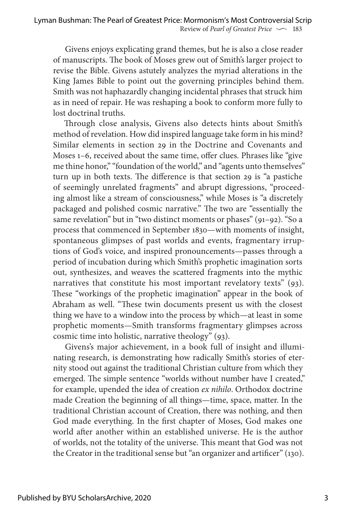Givens enjoys explicating grand themes, but he is also a close reader of manuscripts. The book of Moses grew out of Smith's larger project to revise the Bible. Givens astutely analyzes the myriad alterations in the King James Bible to point out the governing principles behind them. Smith was not haphazardly changing incidental phrases that struck him as in need of repair. He was reshaping a book to conform more fully to lost doctrinal truths.

Through close analysis, Givens also detects hints about Smith's method of revelation. How did inspired language take form in his mind? Similar elements in section 29 in the Doctrine and Covenants and Moses 1–6, received about the same time, offer clues. Phrases like "give me thine honor," "foundation of the world," and "agents unto themselves" turn up in both texts. The difference is that section 29 is "a pastiche of seemingly unrelated fragments" and abrupt digressions, "proceeding almost like a stream of consciousness," while Moses is "a discretely packaged and polished cosmic narrative." The two are "essentially the same revelation" but in "two distinct moments or phases" (91–92). "So a process that commenced in September 1830—with moments of insight, spontaneous glimpses of past worlds and events, fragmentary irruptions of God's voice, and inspired pronouncements—passes through a period of incubation during which Smith's prophetic imagination sorts out, synthesizes, and weaves the scattered fragments into the mythic narratives that constitute his most important revelatory texts" (93). These "workings of the prophetic imagination" appear in the book of Abraham as well. "These twin documents present us with the closest thing we have to a window into the process by which—at least in some prophetic moments—Smith transforms fragmentary glimpses across cosmic time into holistic, narrative theology" (93).

Givens's major achievement, in a book full of insight and illuminating research, is demonstrating how radically Smith's stories of eternity stood out against the traditional Christian culture from which they emerged. The simple sentence "worlds without number have I created," for example, upended the idea of creation *ex nihilo*. Orthodox doctrine made Creation the beginning of all things—time, space, matter. In the traditional Christian account of Creation, there was nothing, and then God made everything. In the first chapter of Moses, God makes one world after another within an established universe. He is the author of worlds, not the totality of the universe. This meant that God was not the Creator in the traditional sense but "an organizer and artificer" (130).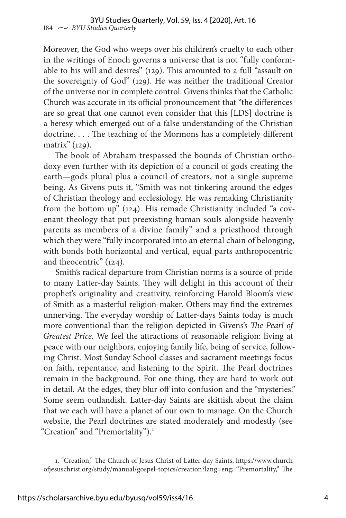Moreover, the God who weeps over his children's cruelty to each other in the writings of Enoch governs a universe that is not "fully conformable to his will and desires" (129). This amounted to a full "assault on the sovereignty of God" (129). He was neither the traditional Creator of the universe nor in complete control. Givens thinks that the Catholic Church was accurate in its official pronouncement that "the differences are so great that one cannot even consider that this [LDS] doctrine is a heresy which emerged out of a false understanding of the Christian doctrine. . . . The teaching of the Mormons has a completely different matrix" (129).

The book of Abraham trespassed the bounds of Christian orthodoxy even further with its depiction of a council of gods creating the earth—gods plural plus a council of creators, not a single supreme being. As Givens puts it, "Smith was not tinkering around the edges of Christian theology and ecclesiology. He was remaking Christianity from the bottom up" (124). His remade Christianity included "a covenant theology that put preexisting human souls alongside heavenly parents as members of a divine family" and a priesthood through which they were "fully incorporated into an eternal chain of belonging, with bonds both horizontal and vertical, equal parts anthropocentric and theocentric" (124).

Smith's radical departure from Christian norms is a source of pride to many Latter-day Saints. They will delight in this account of their prophet's originality and creativity, reinforcing Harold Bloom's view of Smith as a masterful religion-maker. Others may find the extremes unnerving. The everyday worship of Latter-days Saints today is much more conventional than the religion depicted in Givens's *The Pearl of Greatest Price.* We feel the attractions of reasonable religion: living at peace with our neighbors, enjoying family life, being of service, following Christ. Most Sunday School classes and sacrament meetings focus on faith, repentance, and listening to the Spirit. The Pearl doctrines remain in the background. For one thing, they are hard to work out in detail. At the edges, they blur off into confusion and the "mysteries." Some seem outlandish. Latter-day Saints are skittish about the claim that we each will have a planet of our own to manage. On the Church website, the Pearl doctrines are stated moderately and modestly (see "Creation" and "Premortality").<sup>1</sup>

<sup>1. &</sup>quot;Creation," The Church of Jesus Christ of Latter-day Saints, https://www.church ofjesuschrist.org/study/manual/gospel-topics/creation?lang=eng; "Premortality," The